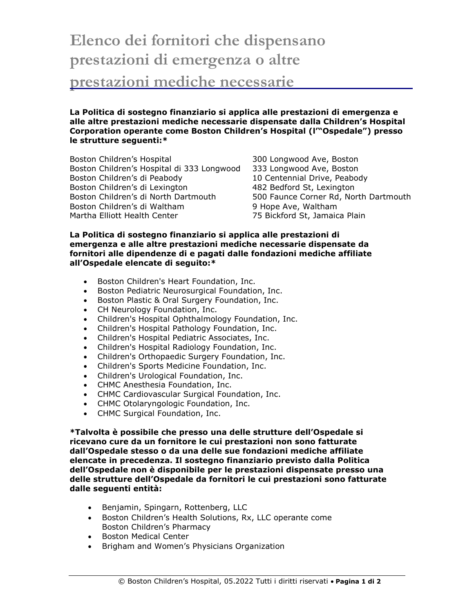## **Elenco dei fornitori che dispensano prestazioni di emergenza o altre prestazioni mediche necessarie**

**La Politica di sostegno finanziario si applica alle prestazioni di emergenza e alle altre prestazioni mediche necessarie dispensate dalla Children's Hospital Corporation operante come Boston Children's Hospital (l'"Ospedale") presso** 

**le strutture seguenti:\*** Boston Children's Hospital 300 Longwood Ave, Boston Boston Children's Hospital di 333 Longwood 333 Longwood Ave, Boston Boston Children's di Peabody 10 Centennial Drive, Peabody

Boston Children's di Lexington 1982 Bedford St, Lexington Boston Children's di North Dartmouth 500 Faunce Corner Rd, North Dartmouth Boston Children's di Waltham 9 Hope Ave, Waltham Martha Elliott Health Center **75 Bickford St, Jamaica Plain** 

## **La Politica di sostegno finanziario si applica alle prestazioni di emergenza e alle altre prestazioni mediche necessarie dispensate da fornitori alle dipendenze di e pagati dalle fondazioni mediche affiliate all'Ospedale elencate di seguito:\***

- Boston Children's Heart Foundation, Inc.
- Boston Pediatric Neurosurgical Foundation, Inc.
- Boston Plastic & Oral Surgery Foundation, Inc.
- CH Neurology Foundation, Inc.
- Children's Hospital Ophthalmology Foundation, Inc.
- Children's Hospital Pathology Foundation, Inc.
- Children's Hospital Pediatric Associates, Inc.
- Children's Hospital Radiology Foundation, Inc.
- Children's Orthopaedic Surgery Foundation, Inc.
- Children's Sports Medicine Foundation, Inc.
- Children's Urological Foundation, Inc.
- CHMC Anesthesia Foundation, Inc.
- CHMC Cardiovascular Surgical Foundation, Inc.
- CHMC Otolaryngologic Foundation, Inc.
- CHMC Surgical Foundation, Inc.

**\*Talvolta è possibile che presso una delle strutture dell'Ospedale si ricevano cure da un fornitore le cui prestazioni non sono fatturate dall'Ospedale stesso o da una delle sue fondazioni mediche affiliate elencate in precedenza. Il sostegno finanziario previsto dalla Politica dell'Ospedale non è disponibile per le prestazioni dispensate presso una delle strutture dell'Ospedale da fornitori le cui prestazioni sono fatturate dalle seguenti entità:**

- Benjamin, Spingarn, Rottenberg, LLC
- Boston Children's Health Solutions, Rx, LLC operante come Boston Children's Pharmacy
- Boston Medical Center
- Brigham and Women's Physicians Organization